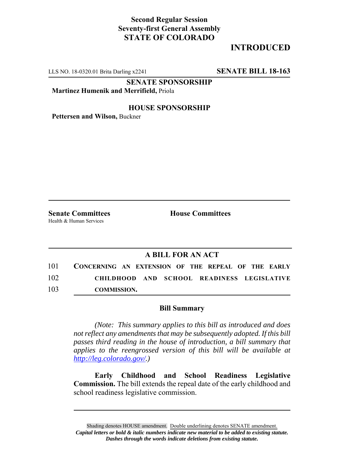## **Second Regular Session Seventy-first General Assembly STATE OF COLORADO**

# **INTRODUCED**

LLS NO. 18-0320.01 Brita Darling x2241 **SENATE BILL 18-163**

**SENATE SPONSORSHIP**

**Martinez Humenik and Merrifield,** Priola

### **HOUSE SPONSORSHIP**

**Pettersen and Wilson,** Buckner

Health & Human Services

**Senate Committees House Committees** 

### **A BILL FOR AN ACT**

101 **CONCERNING AN EXTENSION OF THE REPEAL OF THE EARLY** 102 **CHILDHOOD AND SCHOOL READINESS LEGISLATIVE** 103 **COMMISSION.**

#### **Bill Summary**

*(Note: This summary applies to this bill as introduced and does not reflect any amendments that may be subsequently adopted. If this bill passes third reading in the house of introduction, a bill summary that applies to the reengrossed version of this bill will be available at http://leg.colorado.gov/.)*

**Early Childhood and School Readiness Legislative Commission.** The bill extends the repeal date of the early childhood and school readiness legislative commission.

Shading denotes HOUSE amendment. Double underlining denotes SENATE amendment. *Capital letters or bold & italic numbers indicate new material to be added to existing statute. Dashes through the words indicate deletions from existing statute.*